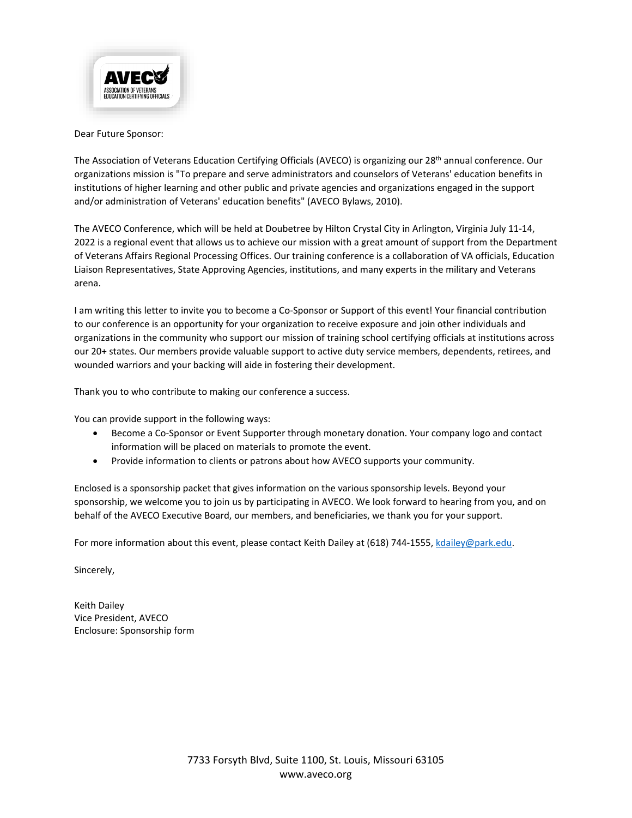

#### Dear Future Sponsor:

The Association of Veterans Education Certifying Officials (AVECO) is organizing our 28<sup>th</sup> annual conference. Our organizations mission is "To prepare and serve administrators and counselors of Veterans' education benefits in institutions of higher learning and other public and private agencies and organizations engaged in the support and/or administration of Veterans' education benefits" (AVECO Bylaws, 2010).

The AVECO Conference, which will be held at Doubetree by Hilton Crystal City in Arlington, Virginia July 11-14, 2022 is a regional event that allows us to achieve our mission with a great amount of support from the Department of Veterans Affairs Regional Processing Offices. Our training conference is a collaboration of VA officials, Education Liaison Representatives, State Approving Agencies, institutions, and many experts in the military and Veterans arena.

I am writing this letter to invite you to become a Co-Sponsor or Support of this event! Your financial contribution to our conference is an opportunity for your organization to receive exposure and join other individuals and organizations in the community who support our mission of training school certifying officials at institutions across our 20+ states. Our members provide valuable support to active duty service members, dependents, retirees, and wounded warriors and your backing will aide in fostering their development.

Thank you to who contribute to making our conference a success.

You can provide support in the following ways:

- Become a Co-Sponsor or Event Supporter through monetary donation. Your company logo and contact information will be placed on materials to promote the event.
- Provide information to clients or patrons about how AVECO supports your community.

Enclosed is a sponsorship packet that gives information on the various sponsorship levels. Beyond your sponsorship, we welcome you to join us by participating in AVECO. We look forward to hearing from you, and on behalf of the AVECO Executive Board, our members, and beneficiaries, we thank you for your support.

For more information about this event, please contact Keith Dailey at (618) 744-1555[, kdailey@park.edu.](mailto:kdailey@park.edu)

Sincerely,

Keith Dailey Vice President, AVECO Enclosure: Sponsorship form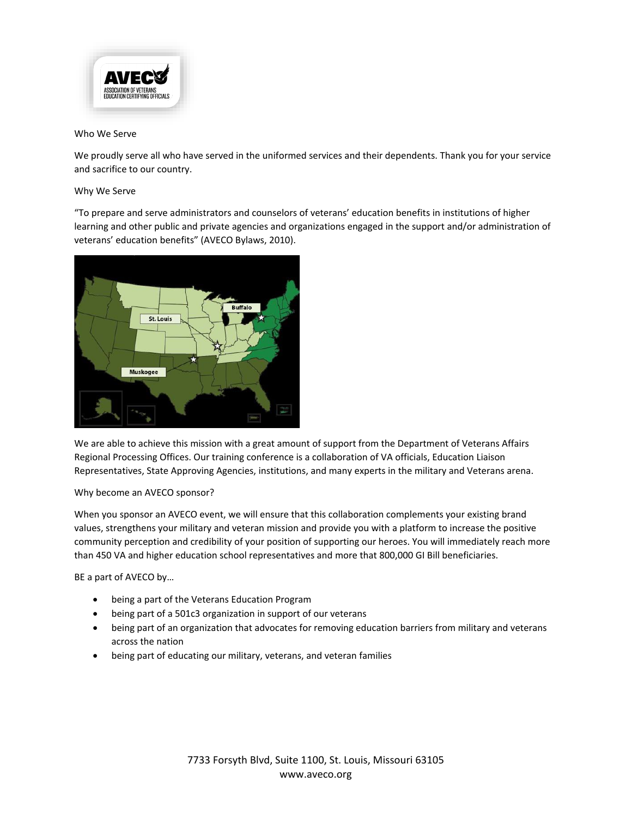

#### Who We Serve

We proudly serve all who have served in the uniformed services and their dependents. Thank you for your service and sacrifice to our country.

#### Why We Serve

"To prepare and serve administrators and counselors of veterans' education benefits in institutions of higher learning and other public and private agencies and organizations engaged in the support and/or administration of veterans' education benefits" (AVECO Bylaws, 2010).



We are able to achieve this mission with a great amount of support from the Department of Veterans Affairs Regional Processing Offices. Our training conference is a collaboration of VA officials, Education Liaison Representatives, State Approving Agencies, institutions, and many experts in the military and Veterans arena.

#### Why become an AVECO sponsor?

When you sponsor an AVECO event, we will ensure that this collaboration complements your existing brand values, strengthens your military and veteran mission and provide you with a platform to increase the positive community perception and credibility of your position of supporting our heroes. You will immediately reach more than 450 VA and higher education school representatives and more that 800,000 GI Bill beneficiaries.

BE a part of AVECO by…

- being a part of the Veterans Education Program
- being part of a 501c3 organization in support of our veterans
- being part of an organization that advocates for removing education barriers from military and veterans across the nation
- being part of educating our military, veterans, and veteran families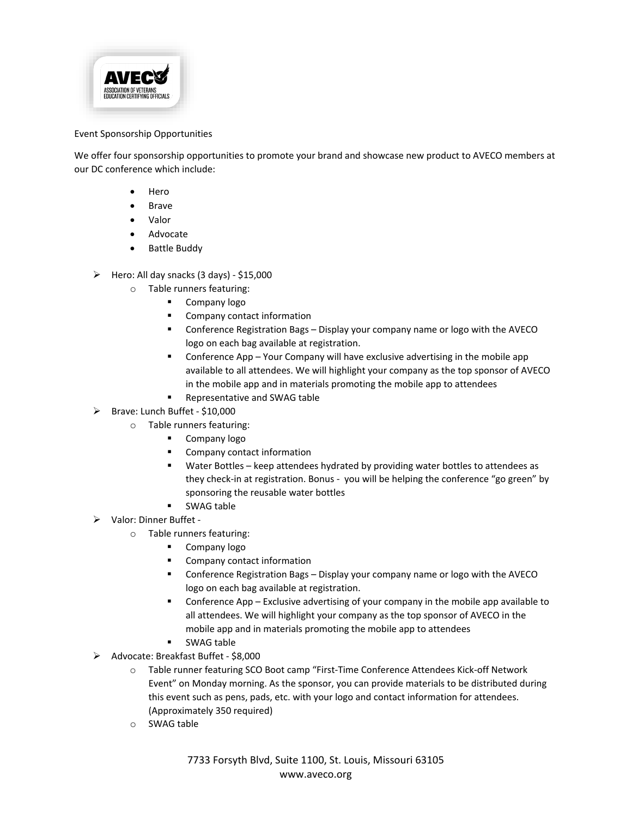

#### Event Sponsorship Opportunities

We offer four sponsorship opportunities to promote your brand and showcase new product to AVECO members at our DC conference which include:

- Hero
- Brave
- Valor
- Advocate
- Battle Buddy
- $\triangleright$  Hero: All day snacks (3 days) \$15,000
	- o Table runners featuring:
		- **Company logo**
		- Company contact information
		- Conference Registration Bags Display your company name or logo with the AVECO logo on each bag available at registration.
		- Conference App Your Company will have exclusive advertising in the mobile app available to all attendees. We will highlight your company as the top sponsor of AVECO in the mobile app and in materials promoting the mobile app to attendees
		- Representative and SWAG table
- Brave: Lunch Buffet \$10,000
	- o Table runners featuring:
		- **Company logo**
		- Company contact information
		- Water Bottles keep attendees hydrated by providing water bottles to attendees as they check-in at registration. Bonus - you will be helping the conference "go green" by sponsoring the reusable water bottles
		- SWAG table
- Valor: Dinner Buffet
	- o Table runners featuring:
		- **Company logo**
		- **Company contact information**
		- Conference Registration Bags Display your company name or logo with the AVECO logo on each bag available at registration.
		- Conference App Exclusive advertising of your company in the mobile app available to all attendees. We will highlight your company as the top sponsor of AVECO in the mobile app and in materials promoting the mobile app to attendees
		- SWAG table
- Advocate: Breakfast Buffet \$8,000
	- o Table runner featuring SCO Boot camp "First-Time Conference Attendees Kick-off Network Event" on Monday morning. As the sponsor, you can provide materials to be distributed during this event such as pens, pads, etc. with your logo and contact information for attendees. (Approximately 350 required)
	- o SWAG table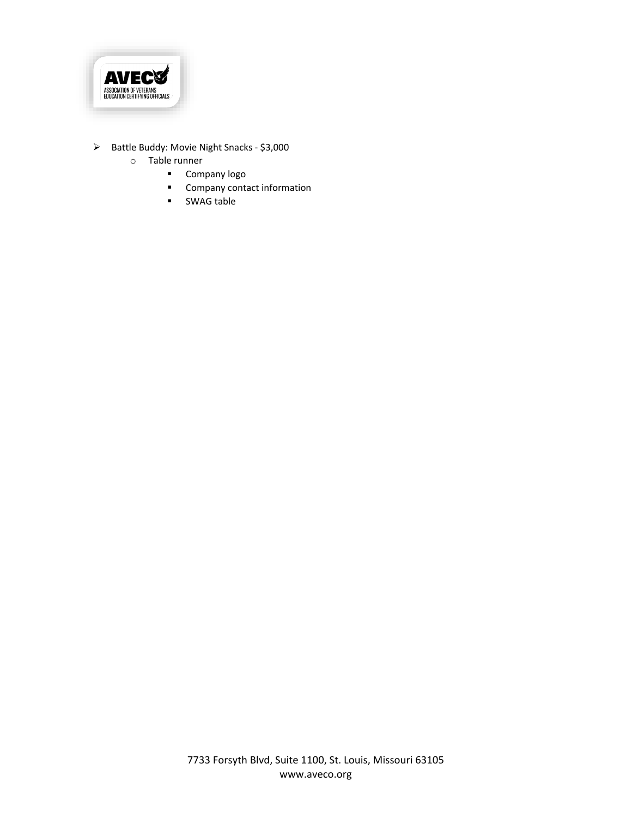

- > Battle Buddy: Movie Night Snacks \$3,000
	- o Table runner
		- **•** Company logo
		- **Company contact information**
		- SWAG table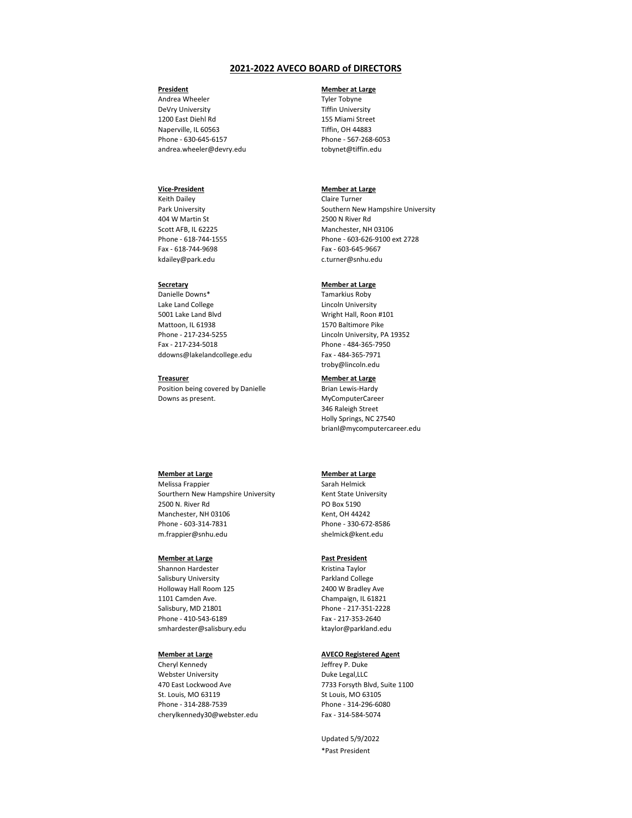# **President**

Andrea Wheeler DeVry University 1200 East Diehl Rd Naperville, IL 60563 Phone - 630-645-6157 andrea.wheeler@devry.edu

# **Member at Large**

Tyler Tobyne Tiffin University 155 Miami Street Tiffin, OH 44883 Phone - 567-268-6053 tobynet@tiffin.edu

#### **Vice-President**

Keith Dailey Park University 404 W Martin St Scott AFB, IL 62225 Phone - 618-744-1555 Fax - 618-744-9698 kdailey@park.edu

#### **Member at Large**

Claire Turner Southern New Hampshire University 2500 N River Rd Manchester, NH 03106 Phone - 603-626-9100 ext 2728 Fax - 603-645-9667 c.turner@snhu.edu

# **Secretary**

Danielle Downs\* Lake Land College 5001 Lake Land Blvd Mattoon, IL 61938 Phone - 217-234-5255 Fax - 217-234-5018 ddowns@lakelandcollege.edu

# **Member at Large**

Tamarkius Roby Lincoln University Wright Hall, Roon #101 1570 Baltimore Pike Lincoln University, PA 19352 Phone - 484-365-7950 Fax - 484-365-7971 troby@lincoln.edu

#### **Treasurer**

Position being covered by Danielle Downs as present.

#### **Member at Large**

Brian Lewis-Hardy MyComputerCareer 346 Raleigh Street Holly Springs, NC 27540 brianl@mycomputercareer.edu

#### **Member at Large**

Melissa Frappier Sourthern New Hampshire University 2500 N. River Rd Manchester, NH 03106 Phone - 603-314-7831 [m.frappier@sn](mailto:c.turner@snhu.edu)hu.edu

# **Member at Large**

Sarah Helmick Kent State University PO Box 5190 Kent, OH 44242 Phone - 330-672-8586 [shelm](mailto:smhardester@salisbury.edu)ick@kent.edu

#### **Member at Large**

Shannon Hardester

Salisbury University Holloway Hall Room 125 1101 Camden Ave. Salisbury, MD 21801 [Phone - 410-54](mailto:troby@lincoln.edu)3-6189 smhardester@salisbury.edu

# **Past President**

Kristina Taylor

Parkland College 2400 W Bradley Ave Champaign, IL 61821 Phone - 217-351-2228 Fax - 217-353-2640 ktaylor@parkland.edu

**Member at Large**

Cheryl Kennedy [Webster University](mailto:brianl@mycomputercareer.edu) 470 East Lockwood Ave St. Louis, MO 63119 Phone - 314-288-7539 cherylkennedy30@webster.edu

#### **AVECO Registered Agent**

Jeffrey P. Duke Duke Legal,LLC 7733 Forsyth Blvd, Suite 1100 St Louis, MO 63105 Phone - 314-296-6080 Fax - 314-584-5074

Updated 5/9/2022 \*Past President

# **2021-2022 AVECO BOARD of DIRECTORS**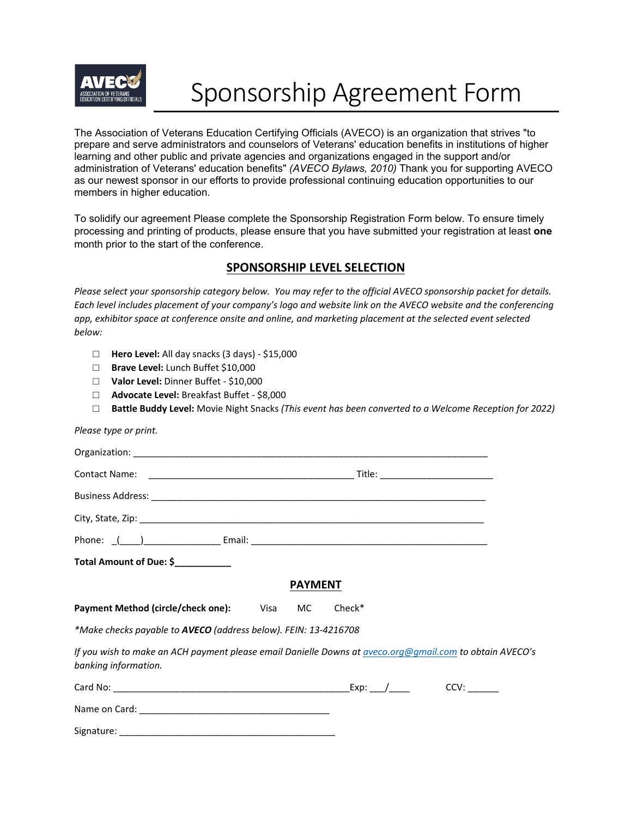

# Sponsorship Agreement Form

The Association of Veterans Education Certifying Officials (AVECO) is an organization that strives "to prepare and serve administrators and counselors of Veterans' education benefits in institutions of higher learning and other public and private agencies and organizations engaged in the support and/or administration of Veterans' education benefits" *(AVECO Bylaws, 2010)* Thank you for supporting AVECO as our newest sponsor in our efforts to provide professional continuing education opportunities to our members in higher education.

To solidify our agreement Please complete the Sponsorship Registration Form below. To ensure timely processing and printing of products, please ensure that you have submitted your registration at least **one** month prior to the start of the conference.

# **SPONSORSHIP LEVEL SELECTION**

*Please select your sponsorship category below. You may refer to the official AVECO sponsorship packet for details. Each level includes placement of your company's logo and website link on the AVECO website and the conferencing app, exhibitor space at conference onsite and online, and marketing placement at the selected event selected below:*

- □ **Hero Level:** All day snacks (3 days) \$15,000
- □ **Brave Level:** Lunch Buffet \$10,000
- □ **Valor Level:** Dinner Buffet \$10,000
- □ **Advocate Level:** Breakfast Buffet \$8,000
- □ **Battle Buddy Level:** Movie Night Snacks *(This event has been converted to a Welcome Reception for 2022)*

*Please type or print.*

| Total Amount of Due: \$____________                                                                                                    |                |        |  |
|----------------------------------------------------------------------------------------------------------------------------------------|----------------|--------|--|
|                                                                                                                                        | <b>PAYMENT</b> |        |  |
| Payment Method (circle/check one): Visa MC                                                                                             |                | Check* |  |
| *Make checks payable to AVECO (address below). FEIN: 13-4216708                                                                        |                |        |  |
| If you wish to make an ACH payment please email Danielle Downs at <u>aveco.org@gmail.com</u> to obtain AVECO's<br>banking information. |                |        |  |
|                                                                                                                                        |                |        |  |
|                                                                                                                                        |                |        |  |
|                                                                                                                                        |                |        |  |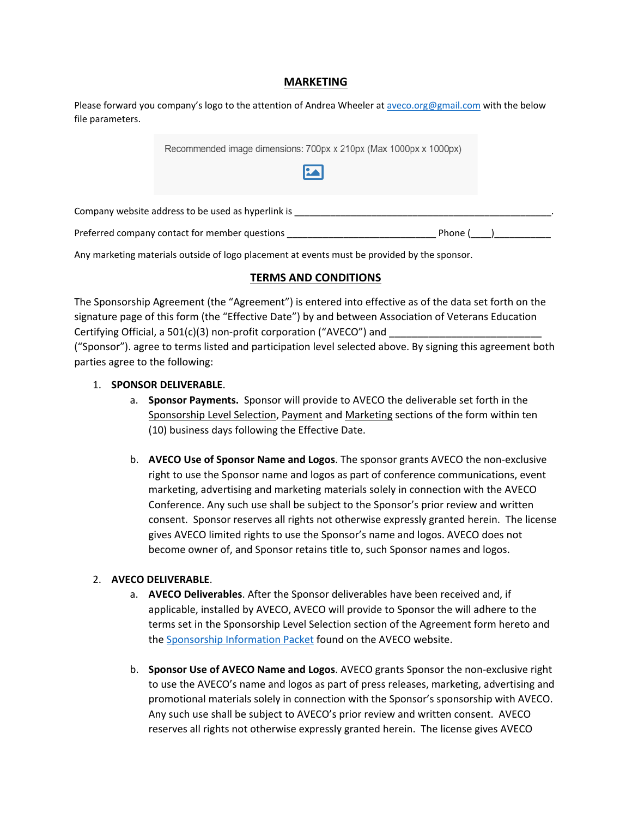# **MARKETING**

| Please forward you company's logo to the attention of Andrea Wheeler at aveco.org@gmail.com with the below |  |
|------------------------------------------------------------------------------------------------------------|--|
| file parameters.                                                                                           |  |

| Recommended image dimensions: 700px x 210px (Max 1000px x 1000px)<br><b>MA</b> |  |
|--------------------------------------------------------------------------------|--|
| Company website address to be used as hyperlink is                             |  |
| Preferred company contact for member questions<br>Phone (                      |  |

Any marketing materials outside of logo placement at events must be provided by the sponsor.

# **TERMS AND CONDITIONS**

The Sponsorship Agreement (the "Agreement") is entered into effective as of the data set forth on the signature page of this form (the "Effective Date") by and between Association of Veterans Education Certifying Official, a 501(c)(3) non-profit corporation ("AVECO") and

("Sponsor"). agree to terms listed and participation level selected above. By signing this agreement both parties agree to the following:

### 1. **SPONSOR DELIVERABLE**.

- a. **Sponsor Payments.** Sponsor will provide to AVECO the deliverable set forth in the Sponsorship Level Selection, Payment and Marketing sections of the form within ten (10) business days following the Effective Date.
- b. **AVECO Use of Sponsor Name and Logos**. The sponsor grants AVECO the non-exclusive right to use the Sponsor name and logos as part of conference communications, event marketing, advertising and marketing materials solely in connection with the AVECO Conference. Any such use shall be subject to the Sponsor's prior review and written consent. Sponsor reserves all rights not otherwise expressly granted herein. The license gives AVECO limited rights to use the Sponsor's name and logos. AVECO does not become owner of, and Sponsor retains title to, such Sponsor names and logos.

# 2. **AVECO DELIVERABLE**.

- a. **AVECO Deliverables**. After the Sponsor deliverables have been received and, if applicable, installed by AVECO, AVECO will provide to Sponsor the will adhere to the terms set in the Sponsorship Level Selection section of the Agreement form hereto and the Sponsorship [Information Packet](https://www.aveco.org/_files/ugd/82bd48_3dcf0e24e2c043b585ab3eab5f5b049f.pdf) found on the AVECO website.
- b. **Sponsor Use of AVECO Name and Logos**. AVECO grants Sponsor the non-exclusive right to use the AVECO's name and logos as part of press releases, marketing, advertising and promotional materials solely in connection with the Sponsor's sponsorship with AVECO. Any such use shall be subject to AVECO's prior review and written consent. AVECO reserves all rights not otherwise expressly granted herein. The license gives AVECO